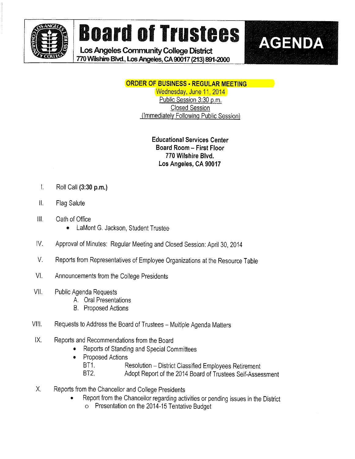

# Board of Trustees | AGENDA

Los Angeles Community College District 770 Wilshire Blvd., Los Angeles, CA 90017 (213) 891-2000



# ORDER OF BUSINESS . REGULAR MEETING

Wednesday, June 11, 2014 Public Session 3:30 p.m. Closed Session (immediately Foilowinq Public Session)

# Educational Services Center Board Room - First Floor 770 Wilshire Blvd. Los Angeles, CA 90017

- $\mathbf{L}$ Roii Call (3:30 p.m.)
- $\parallel$ . Flag Salute
- $III.$ Oath of Office
	- e LaMont G. Jackson, Student Trustee
- IV. Approval of Minutes: Regular Meeting and Closed Session: April 30, 2014
- V. Reports from Representatives of Employee Organizations at the Resource Table
- VI. Announcements from the Coliege Presidents
- VII. Public Agenda Requests
	- A. Oral Presentations
	- B. Proposed Actions
- Vill. Requests to Address the Board of Trustees Multiple Agenda Matters
- IX. Reports and Recommendations from the Board
	- Reports of Standing and Special Committees .
	- Proposed Actions
		- BT1. Resolution District Classified Employees Retirement<br>BT2. Adopt Report of the 2014 Board of Trustees Self-Assected
			- Adopt Report of the 2014 Board of Trustees Self-Assessment
- X. Reports from the Chancellor and Coliege Presidents
	- Report from the Chanceilor regarding activities or pending issues in the District .
		- o Presentation on the 2014-15 Tentative Budget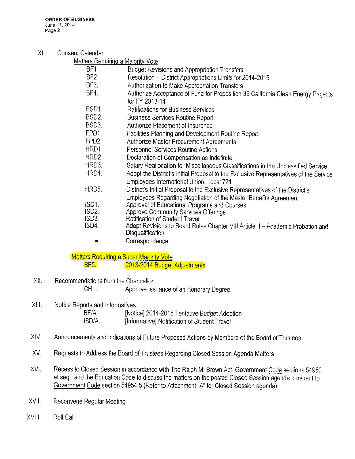#### Xl. Consent Calendar

| <b>Matters Requiring a Majority Vote</b> |  |  |
|------------------------------------------|--|--|
|                                          |  |  |

- BF1. Budget Revisions and Appropriation Transfers
- BF2. Resolution District Appropriations Limits for 2014-2015
- BF3. Authorization to Make Appropriation Transfers<br>BF4. Authorize Acceptance of Fund for Proposition
- Authorize Acceptance of Fund for Proposition 39 California Clean Energy Projects for FY 2013-14
- BSD1, Ratifications for Business Services
- BSD2. Business Services Routine Report<br>BSD3. Authorize Placement of Insurance
- Authorize Placement of Insurance
- FPD1. Facilities Planning and Development Routine Report
- FPD2. Authorize Master Procurement Agreements
- HRD1. Personnel Services Routine Actions
- HRD2, Deciaration of Compensation as Indefinite
- HRD3. Salary Reallocation for Miscellaneous Classifications in the Unclassified Service
- HRD4, Adopt the District's Initial Proposal to the Exclusive Representatives of the Service Employees Internatlonai Union, Local 721
- HRD5. District's Initial Proposal to the Exclusive Representatives of the District's
	- Employees Regarding Negotiation of the Master Benefits Agreement
- SD1. Approval of Educational Programs and Courses<br>SD2. Approve Community Services Offerings
- ISD2. Approve Community Services Offerings<br>ISD3. Ratification of Student Travel
- Ratification of Student Travel
- ISD4. Adopt Revisions to Board Rules Chapter VIII Article II Academic Probation and **Disqualification** 
	- ® Correspondence

Matters Requiring a Super Majority Vote BF5, 2013-2014 Budget Adjustments

- XII. Recommendations from the Chancellor CH1. Approve Issuance of an Honorary Degree
- XIII. Notice Reports and Informatives BF/A. [Notice] 2014-2015 Tentative Budget Adoption ISD/A. [Informative] Notification of Student Travel

# XIV. Announcements and Indications of Future Proposed Actions by Members of the Board of Trustees

- XV, Requests to Address the Board of Trustees Regarding Closed Session Agenda Matters
- XVI. Recess to Closed Session in accordance with The Ralph M. Brown Act, Government Code sections 54950 et seq., and the Education Code to discuss the matters on the posted Closed Session agenda pursuant to Government Code section 54954.5 (Refer to Attachment "A" for Ciosed Session agenda),
- XV!!, Reconvene Regular Meeting
- XVIII, Roli Call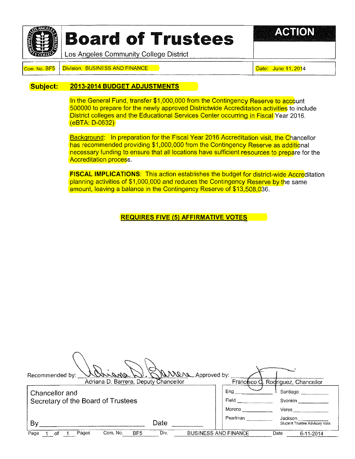

# **Board of Trustees**

**A CHI ON** 

Los Angeles Community College District

#### Com. No. BF5 Division: BUSINESS AND FINANCE Date: Date: Date: June 11, 2014

#### Subject: 2013-2014 BUDGET ADJUSTMENTS

In the General Fund, transfer \$1,000,000 from the Contingency Reserve to account 500000 to prepare for the newiy approved Districtwide Accreditation activities to include District colleges and the Educational Services Center occurring in Fiscal Year 2016. (eBTA: D-0632)

Background: In preparation for the Fiscal Year 2016 Accreditation visit, the Chancellor has recommended providing \$1,000,000 from the Contingency Reserve as additional necessary funding to ensure that all locations have sufficient resources to prepare for the Accreditation process.

FISCAL IMPLICATIONS: This action establishes the budget for district-wide Accreditation planning activities of \$1,000,000 and reduces the Contingency Reserve by the same amount, leaving a balance in the Contingency Reserve of \$13,508,036.

REQUIRES FIVE (5) AFFIRMATIVE VOTES

| Never Approved by:<br>ennand<br>Recommended by:            |                             |                                                   |
|------------------------------------------------------------|-----------------------------|---------------------------------------------------|
| Adriana D. Barrera, Deputy Chancellor                      |                             | Francisco Q. Rodriguez, Chancellor                |
| Chancellor and<br>Secretary of the Board of Trustees       | Ena<br>Field                | Santiago<br>Svonkin                               |
| Date<br>By                                                 | Moreno<br>Pearlman          | Veres<br>Jackson<br>Student Trustee Advisory Vote |
| Div.<br>Com. No.<br>BF <sub>5</sub><br>Pages<br>Page<br>ΩŤ | <b>BUSINESS AND FINANCE</b> | Date<br>$6 - 11 - 2014$                           |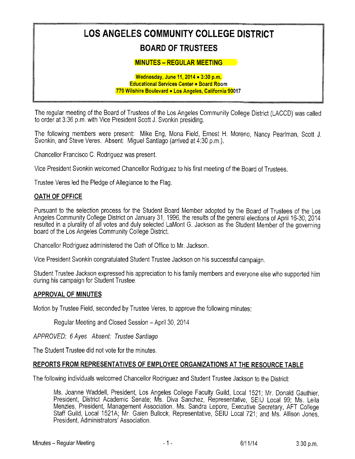# LOS ANGELES COMMUNITY COLLEGE DISTRICT BOARD OF TRUSTEES

#### **MINUTES - REGULAR MEETING**

#### Wednesday, June 11,2014 » 3:30 p.m. Educational Services Center . Board Room 770 Wilshire Boulevard » Los Angeles, California 90017

The regular meeting of the Board of Trustees of the Los Angeles Community Coliege District (LACCD) was ca!led to order at 3:36 p.m, with Vice President Scott J. Svonkin presiding.

The following members were present: Mike Eng, Mona Field, Ernest H. Moreno, Nancy Peartman, Scott J. Svonkin, and Steve Veres, Absent: Miguei Santiago (arrived at 4:30 p.m,).

Chancellor Francisco C. Rodriguez was present.

Vice President Svonkin welcomed Chanceiior Rodriguez to his first meeting of the Board of Trustees.

Trustee Veres led the Pledge of Allegiance to the Flag.

#### OATH OF OFFICE

Pursuant to the selection process for the Student Board Member adopted by the Board of Trustees of the Los Angeles Community College District on January 31, 1996, the results of the general elections of April 16-30, 2014 resulted in a plurality of all votes and duly selected LaMont G. Jackson as the Student Member of the governing board of the Los Angeles Community College District.

Chancellor Rodriguez administered the Oath of Office to Mr, Jackson,

Vice President Svonkin congratulated Student Trustee Jackson on his successful campaign.

Student Trustee Jackson expressed his appreciation to his family members and everyone eise who supported him during his campaign for Student Trustee.

#### APPROVAL OF MINUTES

Motion by Trustee Fieid, seconded by Trustee Veres, to approve the foiiowing minutes:

Regular Meeting and Closed Session - April 30, 2014

APPROVED: 6 Ayes Absent: Trustee Santiago

The Student Trustee did not vote for the minutes.

#### REPORTS FROM REPRESENTATIVES OF EMPLOYEE ORGANIZATIONS AT THE RESOURCE TABLE

The foifowing individuais welcomed Chancellor Rodriguez and Student Trustee Jackson to the District:

Ms. Joanne Waddell, President, Los Angeles College Faculty Guild, Local 1521; Mr. Donald Gauthier, President, District Academic Senate; Ms. Diva Sanchez, Representative, SEIU Local 99; Ms. Leila Menzies, President, Management Association. Ms. Sandra Lepore, Executive Secretary, AFT College Staff Guild, Local 1521A; Mr. Galen Bullock, Representative, SEIU Local 721; and Ms. Allison President, Administrators' Associa